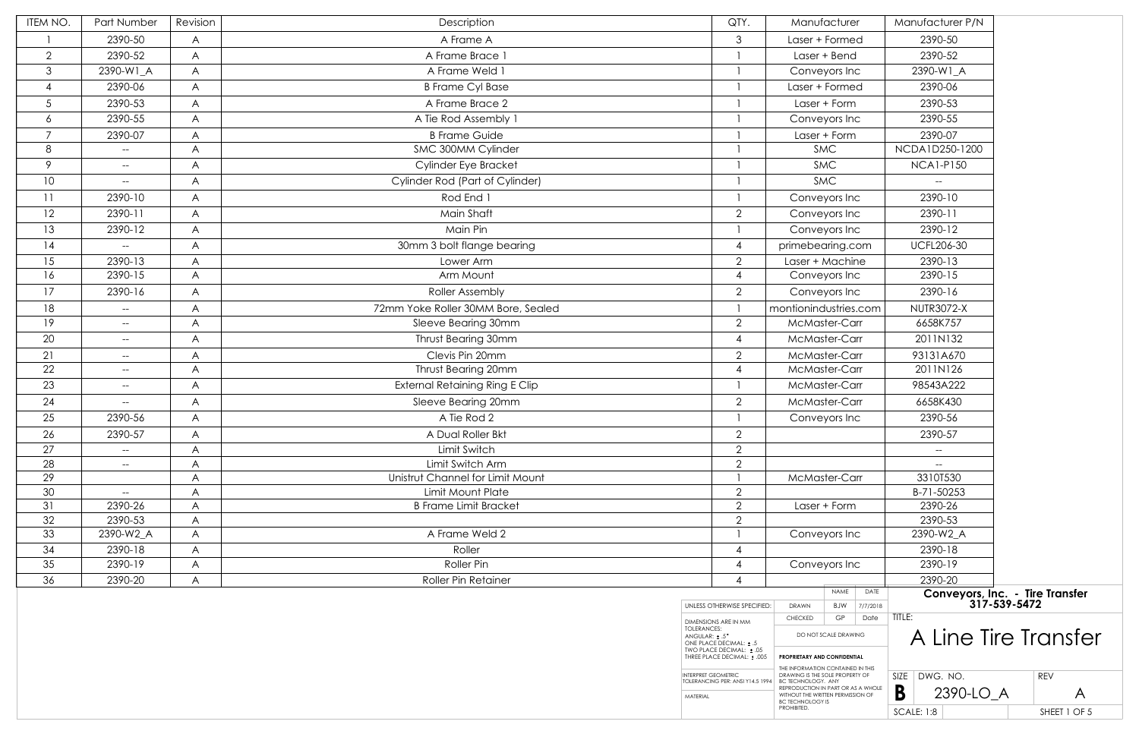| ITEM NO.       | Part Number                           | Revision | Description                                       | QTY.                                                            |                              | Manufacturer         |                   | Manufacturer P/N       |
|----------------|---------------------------------------|----------|---------------------------------------------------|-----------------------------------------------------------------|------------------------------|----------------------|-------------------|------------------------|
|                | 2390-50                               | A        | A Frame A                                         | 3                                                               | Laser + Formed               |                      | 2390-50           |                        |
| $\overline{2}$ | 2390-52                               | A        | A Frame Brace 1                                   |                                                                 | Laser + Bend                 |                      |                   | 2390-52                |
| $\mathcal{S}$  | 2390-W1_A                             | A        | A Frame Weld 1                                    |                                                                 | Conveyors Inc                |                      |                   | 2390-W1_A              |
| $\overline{4}$ | 2390-06                               | A        | <b>B Frame Cyl Base</b>                           |                                                                 | Laser + Formed               |                      |                   | 2390-06                |
| $\sqrt{5}$     | 2390-53                               | A        | A Frame Brace 2                                   |                                                                 | Laser + Form                 |                      | 2390-53           |                        |
| 6              | 2390-55                               | A        | A Tie Rod Assembly 1                              |                                                                 | Conveyors Inc                |                      |                   | 2390-55                |
| $\overline{7}$ | 2390-07                               | A        | <b>B Frame Guide</b>                              |                                                                 |                              | Laser + Form         |                   | 2390-07                |
| 8              | $\overline{\phantom{a}}$              | A        | SMC 300MM Cylinder                                |                                                                 | <b>SMC</b>                   |                      | NCDA1D250-1200    |                        |
| 9              | $\hspace{0.05cm} \textbf{--}$         | A        | Cylinder Eye Bracket                              |                                                                 | <b>SMC</b>                   |                      | <b>NCA1-P150</b>  |                        |
| 10             | $- -$                                 | A        | Cylinder Rod (Part of Cylinder)                   |                                                                 | <b>SMC</b>                   |                      |                   |                        |
| 11             | 2390-10                               | A        | Rod End 1                                         |                                                                 | Conveyors Inc                |                      | 2390-10           |                        |
| 12             | 2390-11                               | A        | Main Shaft                                        | $\overline{2}$                                                  | Conveyors Inc                |                      |                   | 2390-11                |
| 13             | 2390-12                               | A        | Main Pin                                          |                                                                 | Conveyors Inc                |                      |                   | 2390-12                |
| 14             | $\hspace{0.05cm}$ – $\hspace{0.05cm}$ | A        | 30mm 3 bolt flange bearing                        | $\overline{4}$                                                  | primebearing.com             |                      |                   | <b>UCFL206-30</b>      |
| 15             | 2390-13                               | A        | Lower Arm                                         | $\overline{2}$                                                  | Laser + Machine              |                      |                   | 2390-13                |
| 16             | 2390-15                               | A        | Arm Mount                                         | 4                                                               | Conveyors Inc                |                      |                   | 2390-15                |
| 17             | 2390-16                               | A        | <b>Roller Assembly</b>                            | $\overline{2}$                                                  | Conveyors Inc                |                      | 2390-16           |                        |
| 18             | $--$                                  | A        | 72mm Yoke Roller 30MM Bore, Sealed                |                                                                 | montionindustries.com        |                      | <b>NUTR3072-X</b> |                        |
| 19             | $--$                                  | A        | Sleeve Bearing 30mm                               | $\overline{2}$                                                  | McMaster-Carr                |                      | 6658K757          |                        |
| 20             | $--$                                  | A        | Thrust Bearing 30mm                               | 4                                                               | McMaster-Carr                |                      |                   | 2011N132               |
| 21             | $\overline{\phantom{m}}$              | A        | Clevis Pin 20mm                                   | $\overline{2}$                                                  | McMaster-Carr                |                      |                   | 93131A670              |
| 22             | $\hspace{0.05cm} \textbf{--}$         | A        | Thrust Bearing 20mm                               | $\overline{4}$                                                  | McMaster-Carr                |                      |                   | 2011N126               |
| 23             | $--$                                  | A        | <b>External Retaining Ring E Clip</b>             |                                                                 | McMaster-Carr                |                      | 98543A222         |                        |
| 24             | $--$                                  | A        | Sleeve Bearing 20mm                               | $\overline{2}$                                                  | McMaster-Carr                |                      |                   | 6658K430               |
| 25             | 2390-56                               | A        | A Tie Rod 2                                       |                                                                 | Conveyors Inc                |                      |                   | 2390-56                |
| 26             | 2390-57                               | A        | A Dual Roller Bkt                                 | $\overline{2}$                                                  |                              |                      |                   | 2390-57                |
| 27             |                                       | A        | Limit Switch                                      | $\overline{2}$                                                  |                              |                      |                   |                        |
| 28             | $- -$                                 | A        | Limit Switch Arm                                  | $\overline{2}$                                                  |                              |                      |                   |                        |
| 29             |                                       | A        | Unistrut Channel for Limit Mount                  |                                                                 | McMaster-Carr                |                      |                   | 3310T530               |
| 30<br>31       | $--$<br>2390-26                       | A        | Limit Mount Plate<br><b>B Frame Limit Bracket</b> | $\overline{2}$<br>2                                             |                              |                      |                   | B-71-50253<br>2390-26  |
| 32             | 2390-53                               | A<br>A   |                                                   | $\overline{2}$                                                  | Laser + Form                 |                      | 2390-53           |                        |
| 33             | 2390-W2_A                             | A        | A Frame Weld 2                                    |                                                                 | Conveyors Inc                |                      | 2390-W2_A         |                        |
| 34             | 2390-18                               | A        | Roller                                            | 4                                                               |                              |                      |                   | 2390-18                |
| 35             | 2390-19                               | A        | Roller Pin                                        | 4                                                               | Conveyors Inc                |                      |                   | 2390-19                |
| 36             | 2390-20                               | A        | <b>Roller Pin Retainer</b>                        | 4                                                               |                              |                      |                   | 2390-20                |
|                |                                       |          |                                                   | UNLESS OTHERWISE SPECIFIED:                                     | <b>DRAWN</b>                 | NAME<br>BJW          | DATE<br>7/7/2018  | <b>Conveyors</b><br>31 |
|                |                                       |          |                                                   | DIMENSIONS ARE IN MM                                            | <b>CHECKED</b>               | GP                   | Date              | TITLE:                 |
|                |                                       |          |                                                   | <b>TOLERANCES:</b><br>ANGULAR: ± .5°<br>ONE PLACE DECIMAL: ± .5 |                              | DO NOT SCALE DRAWING |                   | A Line                 |
|                |                                       |          |                                                   | TWO PLACE DECIMAL: ± .05<br>THREE PLACE DECIMAL: ± .005         | PROPRIETARY AND CONFIDENTIAL |                      |                   |                        |

| Manufacturer                                                                                  |                      |          |                   | Manufacturer P/N                                |            |              |
|-----------------------------------------------------------------------------------------------|----------------------|----------|-------------------|-------------------------------------------------|------------|--------------|
| Laser + Formed                                                                                |                      |          |                   | 2390-50                                         |            |              |
|                                                                                               | Laser + Bend         |          |                   | 2390-52                                         |            |              |
| Conveyors Inc                                                                                 |                      |          |                   | 2390-W1_A                                       |            |              |
| Laser + Formed                                                                                |                      |          |                   | 2390-06                                         |            |              |
|                                                                                               | Laser + Form         |          |                   | 2390-53                                         |            |              |
| Conveyors Inc                                                                                 |                      |          |                   | 2390-55                                         |            |              |
|                                                                                               | Laser + Form         |          |                   | 2390-07                                         |            |              |
|                                                                                               | <b>SMC</b>           |          |                   | NCDA1D250-1200                                  |            |              |
|                                                                                               | <b>SMC</b>           |          |                   | <b>NCA1-P150</b>                                |            |              |
|                                                                                               | <b>SMC</b>           |          |                   |                                                 |            |              |
| Conveyors Inc                                                                                 |                      |          |                   | 2390-10                                         |            |              |
| Conveyors Inc                                                                                 |                      |          |                   | 2390-11                                         |            |              |
| Conveyors Inc                                                                                 |                      |          |                   | 2390-12                                         |            |              |
| primebearing.com                                                                              |                      |          |                   | <b>UCFL206-30</b>                               |            |              |
| Laser + Machine                                                                               |                      |          |                   | 2390-13                                         |            |              |
| Conveyors Inc                                                                                 |                      |          |                   | 2390-15                                         |            |              |
| Conveyors Inc                                                                                 |                      |          |                   | 2390-16                                         |            |              |
| ontionindustries.com                                                                          |                      |          |                   | <b>NUTR3072-X</b>                               |            |              |
| McMaster-Carr                                                                                 |                      |          |                   | 6658K757                                        |            |              |
| McMaster-Carr                                                                                 |                      |          |                   | 2011N132                                        |            |              |
| McMaster-Carr                                                                                 |                      |          |                   | 93131A670                                       |            |              |
| McMaster-Carr                                                                                 |                      |          |                   | 2011N126                                        |            |              |
| McMaster-Carr                                                                                 |                      |          |                   | 98543A222                                       |            |              |
| McMaster-Carr                                                                                 |                      |          |                   | 6658K430                                        |            |              |
| Conveyors Inc                                                                                 |                      |          |                   | 2390-56                                         |            |              |
|                                                                                               |                      |          |                   | 2390-57                                         |            |              |
|                                                                                               |                      |          |                   |                                                 |            |              |
|                                                                                               |                      |          |                   |                                                 |            |              |
| McMaster-Carr                                                                                 |                      |          |                   | 3310T530                                        |            |              |
|                                                                                               |                      |          |                   | B-71-50253                                      |            |              |
| Laser + Form                                                                                  |                      |          |                   | 2390-26<br>2390-53                              |            |              |
| Conveyors Inc                                                                                 |                      |          |                   | 2390-W2 A                                       |            |              |
|                                                                                               |                      |          |                   | 2390-18                                         |            |              |
| Conveyors Inc                                                                                 |                      |          |                   | 2390-19                                         |            |              |
|                                                                                               |                      |          |                   | 2390-20                                         |            |              |
|                                                                                               | <b>NAME</b>          | DATE     |                   | Conveyors, Inc. - Tire Transfer<br>317-539-5472 |            |              |
| <b>DRAWN</b>                                                                                  | <b>BJW</b>           | 7/7/2018 |                   |                                                 |            |              |
| <b>CHECKED</b>                                                                                | GP                   | Date     | TITLE:            |                                                 |            |              |
|                                                                                               | DO NOT SCALE DRAWING |          |                   | A Line Tire Transfer                            |            |              |
| PROPRIETARY AND CONFIDENTIAL                                                                  |                      |          |                   |                                                 |            |              |
| THE INFORMATION CONTAINED IN THIS<br>DRAWING IS THE SOLE PROPERTY OF                          |                      |          | SIZE              | DWG. NO.                                        | <b>REV</b> |              |
| BC TECHNOLOGY. ANY<br>REPRODUCTION IN PART OR AS A WHOLE<br>WITHOUT THE WRITTEN PERMISSION OF |                      |          | В                 | 2390-LO_A                                       |            | А            |
| BC TECHNOLOGY IS<br>PROHIBITED.                                                               |                      |          |                   |                                                 |            |              |
|                                                                                               |                      |          | <b>SCALE: 1:8</b> |                                                 |            | SHEET 1 OF 5 |

INTERPRET GEOMETRIC TOLERANCING PER: ANSI Y14.5 1994

MATERIAL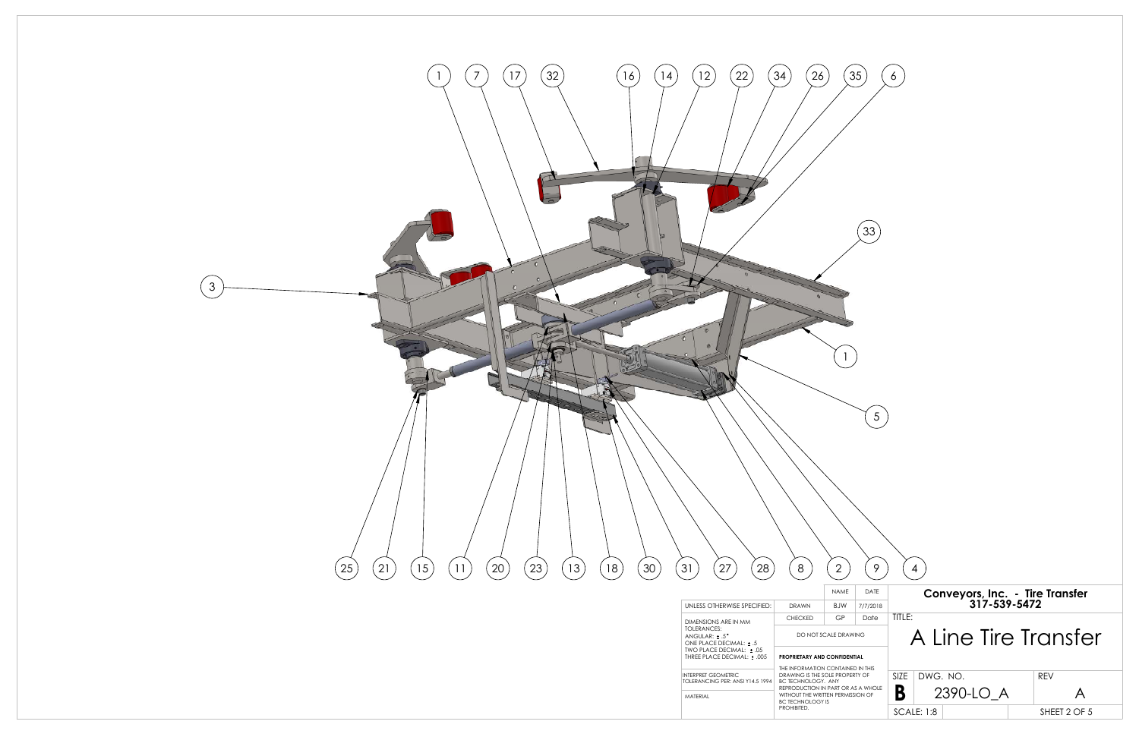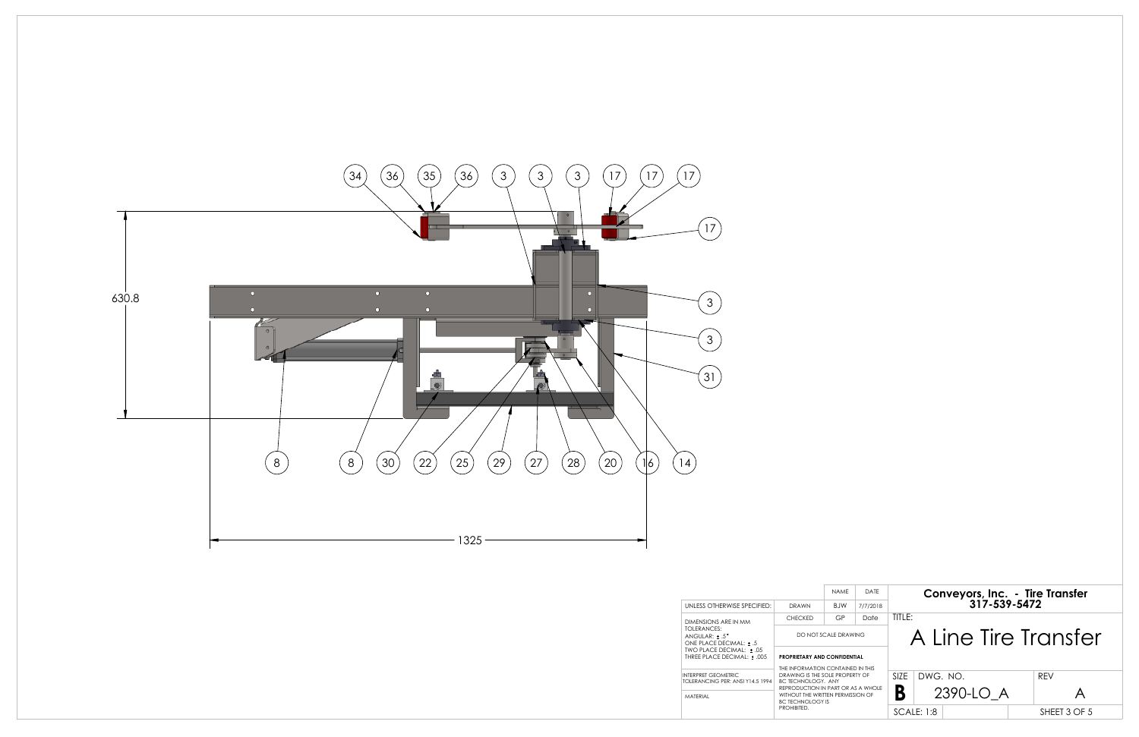

|                                                                 |                                                                      | <b>NAMF</b> | DATE                                                                    |  |  |
|-----------------------------------------------------------------|----------------------------------------------------------------------|-------------|-------------------------------------------------------------------------|--|--|
| UNLESS OTHERWISE SPECIFIED:                                     | DRAWN                                                                | B IW        | 7/7/2018                                                                |  |  |
| DIMENSIONS ARE IN MM                                            | <b>CHECKED</b>                                                       | GP          | Date                                                                    |  |  |
| TOLERANCES:<br>ANGULAR: $+ .5$ °<br>ONE PLACE DECIMAL: + .5     | DO NOT SCALE DRAWING                                                 |             |                                                                         |  |  |
| TWO PLACE DECIMAL: ± .05<br>THREE PLACE DECIMAL: ± .005         | PROPRIETARY AND CONFIDENTIAL                                         |             |                                                                         |  |  |
| <b>INTERPRET GEOMETRIC</b><br>TOI FRANCING PFR: ANSI Y14.5 1994 | DRAWING IS THE SOI F PROPERTY OF<br><b>BC TECHNOLOGY. ANY</b>        |             | THE INFORMATION CONTAINED IN THIS<br>REPRODUCTION IN PART OR AS A WHOLE |  |  |
| MATFRIAL                                                        | WITHOUT THE WRITTEN PERMISSION OF<br>BC TECHNOLOGY IS<br>PROHIBITED. |             |                                                                         |  |  |

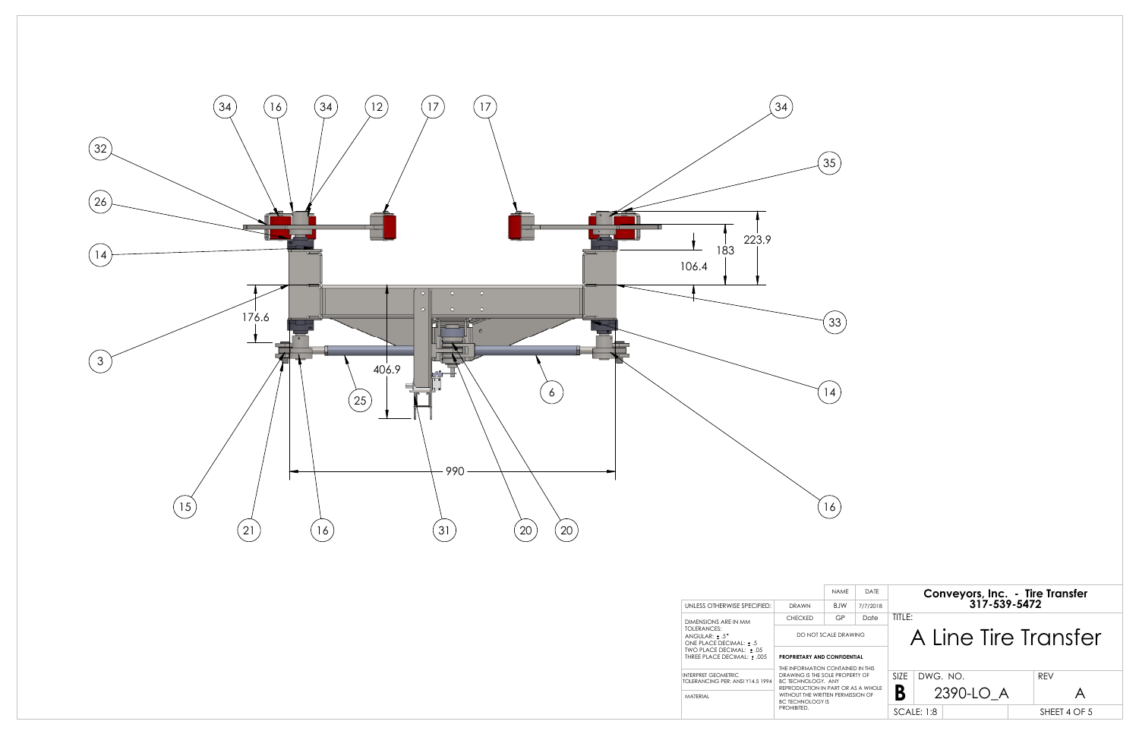

|                                                                             |                                                                     | NAME                                                                                                                                             | DATE     |  |  |
|-----------------------------------------------------------------------------|---------------------------------------------------------------------|--------------------------------------------------------------------------------------------------------------------------------------------------|----------|--|--|
| UNLESS OTHERWISE SPECIFIED:                                                 | DRAWN                                                               | <b>B</b> IW                                                                                                                                      | 7/7/2018 |  |  |
| DIMENSIONS ARE IN MM                                                        | <b>CHECKED</b>                                                      | GP                                                                                                                                               | Date     |  |  |
| TOLERANCES:<br>ANGULAR: ± .5°<br>ONE PLACE DECIMAL: + .5                    | DO NOT SCALE DRAWING                                                |                                                                                                                                                  |          |  |  |
| TWO PLACE DECIMAL: + .05<br>THREE PLACE DECIMAL: + .005                     | <b>PROPRIETARY AND CONFIDENTIAL</b>                                 |                                                                                                                                                  |          |  |  |
| <b>INTERPRET GEOMETRIC</b><br>TOI FRANCING PFR: ANSI Y14.5 1994<br>MATFRIAL | <b>BC TECHNOLOGY. ANY</b><br><b>BC TECHNOLOGY IS</b><br>PROHIBITED. | THE INFORMATION CONTAINED IN THIS<br>DRAWING IS THE SOI F PROPERTY OF<br>REPRODUCTION IN PART OR AS A WHOLE<br>WITHOUT THE WRITTEN PERMISSION OF |          |  |  |

|                                                                                                                                                                           | 33                            |                  |                                                                                            |  |
|---------------------------------------------------------------------------------------------------------------------------------------------------------------------------|-------------------------------|------------------|--------------------------------------------------------------------------------------------|--|
|                                                                                                                                                                           | 4                             |                  |                                                                                            |  |
|                                                                                                                                                                           | 16                            |                  |                                                                                            |  |
|                                                                                                                                                                           |                               |                  |                                                                                            |  |
|                                                                                                                                                                           | <b>NAME</b>                   | DATE             | Conveyors, Inc. - Tire Transfer<br>317-539-5472                                            |  |
| AWN<br><b>ECKED</b>                                                                                                                                                       | <b>BJW</b><br>GP              | 7/7/2018<br>Date | TITLE:                                                                                     |  |
| DO NOT SCALE DRAWING                                                                                                                                                      |                               |                  | Line Tire Transfer                                                                         |  |
|                                                                                                                                                                           | <b>ETARY AND CONFIDENTIAL</b> |                  |                                                                                            |  |
| ORMATION CONTAINED IN THIS<br>NG IS THE SOLE PROPERTY OF<br>HNOLOGY. ANY<br>DUCTION IN PART OR AS A WHOLE<br>JT THE WRITTEN PERMISSION OF<br>:HNOLOGY IS<br><b>SITED.</b> |                               |                  | DWG. NO.<br>SIZE<br><b>REV</b><br>B<br>2390-LO_A<br>A<br><b>SCALE: 1:8</b><br>SHEET 4 OF 5 |  |
|                                                                                                                                                                           |                               |                  |                                                                                            |  |